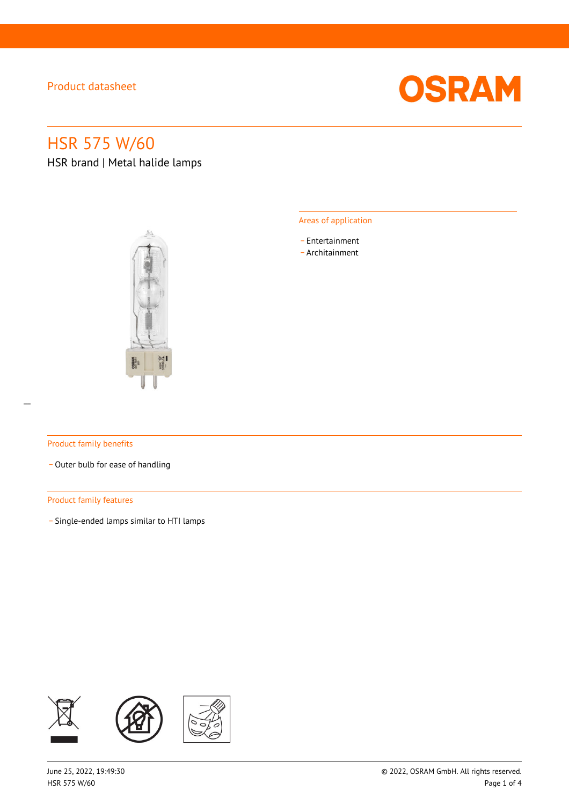

# HSR 575 W/60

HSR brand | Metal halide lamps



#### Areas of application

- \_ Entertainment
- \_ Architainment

#### Product family benefits

- Outer bulb for ease of handling

#### Product family features

\_ Single-ended lamps similar to HTI lamps

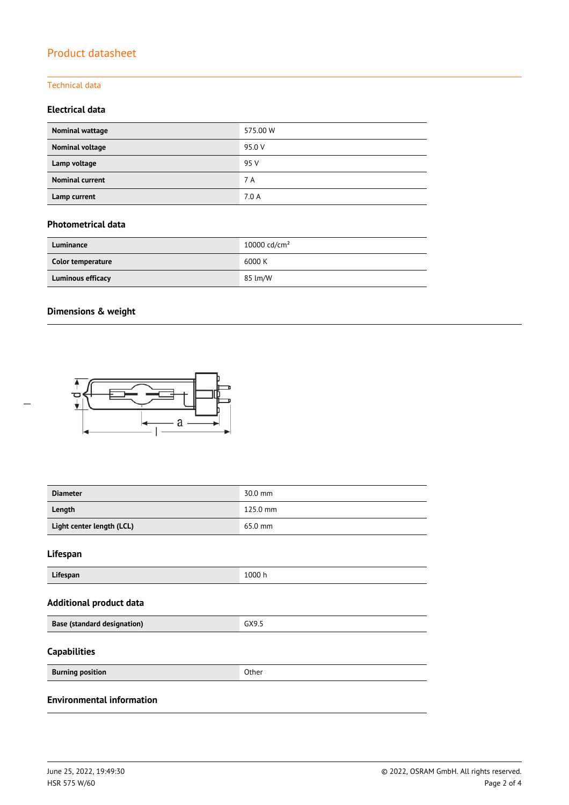### Technical data

### **Electrical data**

| Nominal wattage        | 575.00 W |
|------------------------|----------|
| Nominal voltage        | 95.0 V   |
| Lamp voltage           | 95 V     |
| <b>Nominal current</b> | 7 A      |
| Lamp current           | 7.0A     |

### **Photometrical data**

| Luminance                | 10000 cd/cm <sup>2</sup> |
|--------------------------|--------------------------|
| Color temperature        | 6000 K                   |
| <b>Luminous efficacy</b> | 85 lm/W                  |

### **Dimensions & weight**



| <b>Diameter</b>                  | 30.0 mm  |
|----------------------------------|----------|
| Length                           | 125.0 mm |
| Light center length (LCL)        | 65.0 mm  |
| Lifespan                         |          |
| Lifespan                         | 1000 h   |
| <b>Additional product data</b>   |          |
| Base (standard designation)      | GX9.5    |
| <b>Capabilities</b>              |          |
| <b>Burning position</b>          | Other    |
| <b>Environmental information</b> |          |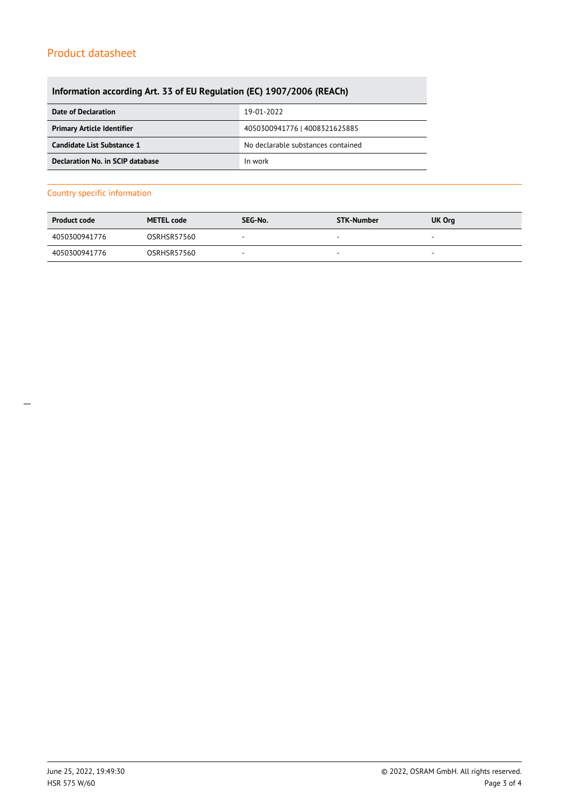### **Information according Art. 33 of EU Regulation (EC) 1907/2006 (REACh)**

| Date of Declaration               | 19-01-2022                         |  |
|-----------------------------------|------------------------------------|--|
| <b>Primary Article Identifier</b> | 4050300941776   4008321625885      |  |
| Candidate List Substance 1        | No declarable substances contained |  |
| Declaration No. in SCIP database  | In work                            |  |

#### Country specific information

| <b>Product code</b> | <b>METEL code</b>  | SEG-No. | <b>STK-Number</b> | <b>UK Org</b> |
|---------------------|--------------------|---------|-------------------|---------------|
| 4050300941776       | OSRHSR57560        | -       |                   | -             |
| 4050300941776       | <b>OSRHSR57560</b> |         |                   | -             |